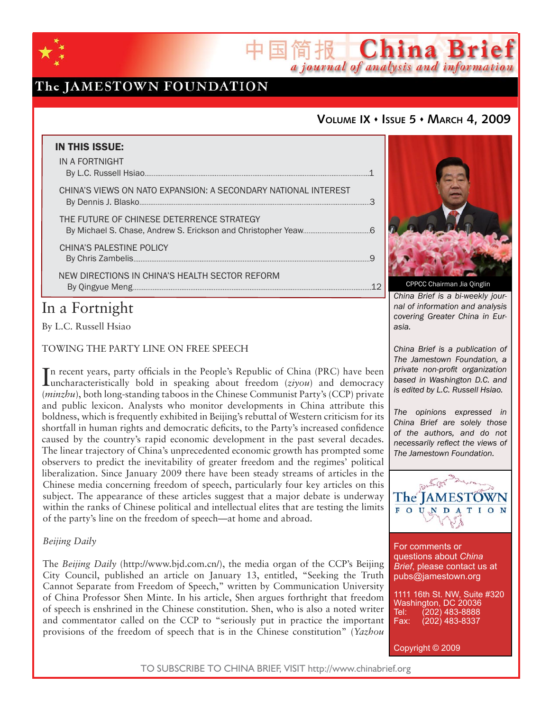

# The JAMESTOWN FOUNDATION

## **VOLUME IX ISSUE 5 MARCH 4, 2009**

简报 China Brief

a journal of analysis and information

| <b>IN THIS ISSUE:</b><br>IN A FORTNIGHT                        |  |
|----------------------------------------------------------------|--|
|                                                                |  |
| CHINA'S VIEWS ON NATO EXPANSION: A SECONDARY NATIONAL INTEREST |  |
| THE FUTURE OF CHINESE DETERRENCE STRATEGY                      |  |
| CHINA'S PALESTINE POLICY                                       |  |
| NEW DIRECTIONS IN CHINA'S HEALTH SECTOR REFORM                 |  |
|                                                                |  |

# In a Fortnight

By L.C. Russell Hsiao

## TOWING THE PARTY LINE ON FREE SPEECH

In recent years, party officials in the People's Republic of China (PRC) have been<br>Iuncharacteristically bold in speaking about freedom (ziyou) and democracy uncharacteristically bold in speaking about freedom (*ziyou*) and democracy (*minzhu*), both long-standing taboos in the Chinese Communist Party's (CCP) private and public lexicon. Analysts who monitor developments in China attribute this boldness, which is frequently exhibited in Beijing's rebuttal of Western criticism for its shortfall in human rights and democratic deficits, to the Party's increased confidence caused by the country's rapid economic development in the past several decades. The linear trajectory of China's unprecedented economic growth has prompted some observers to predict the inevitability of greater freedom and the regimes' political liberalization. Since January 2009 there have been steady streams of articles in the Chinese media concerning freedom of speech, particularly four key articles on this subject. The appearance of these articles suggest that a major debate is underway within the ranks of Chinese political and intellectual elites that are testing the limits of the party's line on the freedom of speech—at home and abroad.

## *Beijing Daily*

The *Beijing Daily* (http://www.bjd.com.cn/), the media organ of the CCP's Beijing City Council, published an article on January 13, entitled, "Seeking the Truth Cannot Separate from Freedom of Speech," written by Communication University of China Professor Shen Minte. In his article, Shen argues forthright that freedom of speech is enshrined in the Chinese constitution. Shen, who is also a noted writer and commentator called on the CCP to "seriously put in practice the important provisions of the freedom of speech that is in the Chinese constitution" (*Yazhou* 



CPPCC Chairman Jia Qinglin

*China Brief is a bi-weekly journal of information and analysis covering Greater China in Eurasia.* 

*China Brief is a publication of The Jamestown Foundation, a private non-profit organization based in Washington D.C. and is edited by L.C. Russell Hsiao.*

*The opinions expressed in China Brief are solely those of the authors, and do not necessarily reflect the views of The Jamestown Foundation.*



For comments or questions about *China Brief*, please contact us at pubs@jamestown.org

1111 16th St. NW, Suite #320 Washington, DC 20036<br>Tel: (202) 483-8888 Tel: (202) 483-8888<br>Fax: (202) 483-8337 Fax: (202) 483-8337

Copyright © 2009

TO SUBSCRIBE TO CHINA BRIEF, VISIT http://www.chinabrief.org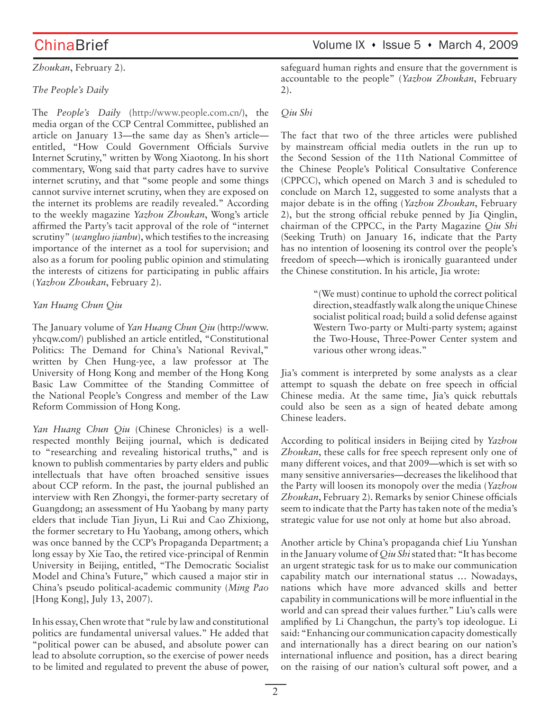*Zhoukan*, February 2).

## *The People's Daily*

The *People's Daily* (http://www.people.com.cn/), the media organ of the CCP Central Committee, published an article on January 13—the same day as Shen's article entitled, "How Could Government Officials Survive Internet Scrutiny," written by Wong Xiaotong. In his short commentary, Wong said that party cadres have to survive internet scrutiny, and that "some people and some things cannot survive internet scrutiny, when they are exposed on the internet its problems are readily revealed." According to the weekly magazine *Yazhou Zhoukan*, Wong's article affirmed the Party's tacit approval of the role of "internet scrutiny" (*wangluo jianbu*), which testifies to the increasing importance of the internet as a tool for supervision; and also as a forum for pooling public opinion and stimulating the interests of citizens for participating in public affairs (*Yazhou Zhoukan*, February 2).

## *Yan Huang Chun Qiu*

The January volume of *Yan Huang Chun Qiu* (http://www. yhcqw.com/) published an article entitled, "Constitutional Politics: The Demand for China's National Revival," written by Chen Hung-yee, a law professor at The University of Hong Kong and member of the Hong Kong Basic Law Committee of the Standing Committee of the National People's Congress and member of the Law Reform Commission of Hong Kong.

*Yan Huang Chun Qiu* (Chinese Chronicles) is a wellrespected monthly Beijing journal, which is dedicated to "researching and revealing historical truths," and is known to publish commentaries by party elders and public intellectuals that have often broached sensitive issues about CCP reform. In the past, the journal published an interview with Ren Zhongyi, the former-party secretary of Guangdong; an assessment of Hu Yaobang by many party elders that include Tian Jiyun, Li Rui and Cao Zhixiong, the former secretary to Hu Yaobang, among others, which was once banned by the CCP's Propaganda Department; a long essay by Xie Tao, the retired vice-principal of Renmin University in Beijing, entitled, "The Democratic Socialist Model and China's Future," which caused a major stir in China's pseudo political-academic community (*Ming Pao* [Hong Kong], July 13, 2007).

In his essay, Chen wrote that "rule by law and constitutional politics are fundamental universal values." He added that "political power can be abused, and absolute power can lead to absolute corruption, so the exercise of power needs to be limited and regulated to prevent the abuse of power, safeguard human rights and ensure that the government is accountable to the people" (*Yazhou Zhoukan*, February 2).

## *Qiu Shi*

The fact that two of the three articles were published by mainstream official media outlets in the run up to the Second Session of the 11th National Committee of the Chinese People's Political Consultative Conference (CPPCC), which opened on March 3 and is scheduled to conclude on March 12, suggested to some analysts that a major debate is in the offing (*Yazhou Zhoukan*, February 2), but the strong official rebuke penned by Jia Qinglin, chairman of the CPPCC, in the Party Magazine *Qiu Shi* (Seeking Truth) on January 16, indicate that the Party has no intention of loosening its control over the people's freedom of speech—which is ironically guaranteed under the Chinese constitution. In his article, Jia wrote:

> "(We must) continue to uphold the correct political direction, steadfastly walk along the unique Chinese socialist political road; build a solid defense against Western Two-party or Multi-party system; against the Two-House, Three-Power Center system and various other wrong ideas."

Jia's comment is interpreted by some analysts as a clear attempt to squash the debate on free speech in official Chinese media. At the same time, Jia's quick rebuttals could also be seen as a sign of heated debate among Chinese leaders.

According to political insiders in Beijing cited by *Yazhou Zhoukan*, these calls for free speech represent only one of many different voices, and that 2009—which is set with so many sensitive anniversaries—decreases the likelihood that the Party will loosen its monopoly over the media (*Yazhou Zhoukan*, February 2). Remarks by senior Chinese officials seem to indicate that the Party has taken note of the media's strategic value for use not only at home but also abroad.

Another article by China's propaganda chief Liu Yunshan in the January volume of *Qiu Shi* stated that: "It has become an urgent strategic task for us to make our communication capability match our international status … Nowadays, nations which have more advanced skills and better capability in communications will be more influential in the world and can spread their values further." Liu's calls were amplified by Li Changchun, the party's top ideologue. Li said: "Enhancing our communication capacity domestically and internationally has a direct bearing on our nation's international influence and position, has a direct bearing on the raising of our nation's cultural soft power, and a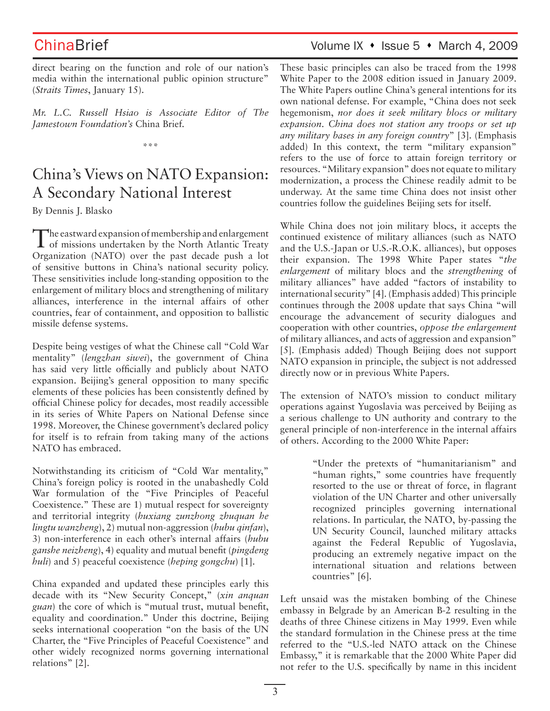direct bearing on the function and role of our nation's media within the international public opinion structure" (*Straits Times*, January 15).

*Mr. L.C. Russell Hsiao is Associate Editor of The Jamestown Foundation's* China Brief*.*

\*\*\*

# China's Views on NATO Expansion: A Secondary National Interest

By Dennis J. Blasko

The eastward expansion of membership and enlargement of missions undertaken by the North Atlantic Treaty Organization (NATO) over the past decade push a lot of sensitive buttons in China's national security policy. These sensitivities include long-standing opposition to the enlargement of military blocs and strengthening of military alliances, interference in the internal affairs of other countries, fear of containment, and opposition to ballistic missile defense systems.

Despite being vestiges of what the Chinese call "Cold War mentality" (*lengzhan siwei*), the government of China has said very little officially and publicly about NATO expansion. Beijing's general opposition to many specific elements of these policies has been consistently defined by official Chinese policy for decades, most readily accessible in its series of White Papers on National Defense since 1998. Moreover, the Chinese government's declared policy for itself is to refrain from taking many of the actions NATO has embraced.

Notwithstanding its criticism of "Cold War mentality," China's foreign policy is rooted in the unabashedly Cold War formulation of the "Five Principles of Peaceful Coexistence." These are 1) mutual respect for sovereignty and territorial integrity (*huxiang zunzhong zhuquan he lingtu wanzheng*), 2) mutual non-aggression (*hubu qinfan*), 3) non-interference in each other's internal affairs (*hubu ganshe neizheng*), 4) equality and mutual benefit (*pingdeng huli*) and 5) peaceful coexistence (*heping gongchu*) [1].

China expanded and updated these principles early this decade with its "New Security Concept," (*xin anquan guan*) the core of which is "mutual trust, mutual benefit, equality and coordination." Under this doctrine, Beijing seeks international cooperation "on the basis of the UN Charter, the "Five Principles of Peaceful Coexistence" and other widely recognized norms governing international relations" [2].

# ChinaBrief ChinaBrief Volume IX • Issue 5 • March 4, 2009

These basic principles can also be traced from the 1998 White Paper to the 2008 edition issued in January 2009. The White Papers outline China's general intentions for its own national defense. For example, "China does not seek hegemonism, *nor does it seek military blocs or military expansion*. *China does not station any troops or set up any military bases in any foreign country*" [3]. (Emphasis added) In this context, the term "military expansion" refers to the use of force to attain foreign territory or resources. "Military expansion" does not equate to military modernization, a process the Chinese readily admit to be underway. At the same time China does not insist other countries follow the guidelines Beijing sets for itself.

While China does not join military blocs, it accepts the continued existence of military alliances (such as NATO and the U.S.-Japan or U.S.-R.O.K. alliances), but opposes their expansion. The 1998 White Paper states "*the enlargement* of military blocs and the *strengthening* of military alliances" have added "factors of instability to international security" [4]. (Emphasis added) This principle continues through the 2008 update that says China "will encourage the advancement of security dialogues and cooperation with other countries, *oppose the enlargement*  of military alliances, and acts of aggression and expansion" [5]. (Emphasis added) Though Beijing does not support NATO expansion in principle, the subject is not addressed directly now or in previous White Papers.

The extension of NATO's mission to conduct military operations against Yugoslavia was perceived by Beijing as a serious challenge to UN authority and contrary to the general principle of non-interference in the internal affairs of others. According to the 2000 White Paper:

> "Under the pretexts of "humanitarianism" and "human rights," some countries have frequently resorted to the use or threat of force, in flagrant violation of the UN Charter and other universally recognized principles governing international relations. In particular, the NATO, by-passing the UN Security Council, launched military attacks against the Federal Republic of Yugoslavia, producing an extremely negative impact on the international situation and relations between countries" [6].

Left unsaid was the mistaken bombing of the Chinese embassy in Belgrade by an American B-2 resulting in the deaths of three Chinese citizens in May 1999. Even while the standard formulation in the Chinese press at the time referred to the "U.S.-led NATO attack on the Chinese Embassy," it is remarkable that the 2000 White Paper did not refer to the U.S. specifically by name in this incident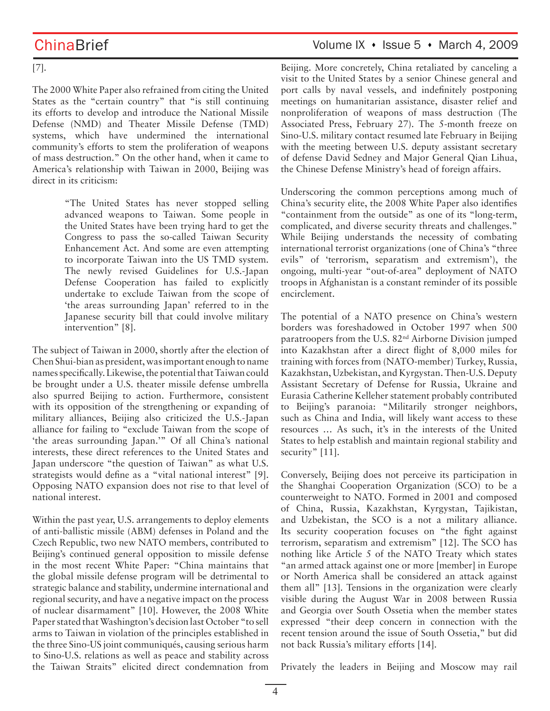[7].

The 2000 White Paper also refrained from citing the United States as the "certain country" that "is still continuing its efforts to develop and introduce the National Missile Defense (NMD) and Theater Missile Defense (TMD) systems, which have undermined the international community's efforts to stem the proliferation of weapons of mass destruction." On the other hand, when it came to America's relationship with Taiwan in 2000, Beijing was direct in its criticism:

> "The United States has never stopped selling advanced weapons to Taiwan. Some people in the United States have been trying hard to get the Congress to pass the so-called Taiwan Security Enhancement Act. And some are even attempting to incorporate Taiwan into the US TMD system. The newly revised Guidelines for U.S.-Japan Defense Cooperation has failed to explicitly undertake to exclude Taiwan from the scope of 'the areas surrounding Japan' referred to in the Japanese security bill that could involve military intervention" [8].

The subject of Taiwan in 2000, shortly after the election of Chen Shui-bian as president, was important enough to name names specifically. Likewise, the potential that Taiwan could be brought under a U.S. theater missile defense umbrella also spurred Beijing to action. Furthermore, consistent with its opposition of the strengthening or expanding of military alliances, Beijing also criticized the U.S.-Japan alliance for failing to "exclude Taiwan from the scope of 'the areas surrounding Japan.'" Of all China's national interests, these direct references to the United States and Japan underscore "the question of Taiwan" as what U.S. strategists would define as a "vital national interest" [9]. Opposing NATO expansion does not rise to that level of national interest.

Within the past year, U.S. arrangements to deploy elements of anti-ballistic missile (ABM) defenses in Poland and the Czech Republic, two new NATO members, contributed to Beijing's continued general opposition to missile defense in the most recent White Paper: "China maintains that the global missile defense program will be detrimental to strategic balance and stability, undermine international and regional security, and have a negative impact on the process of nuclear disarmament" [10]. However, the 2008 White Paper stated that Washington's decision last October "to sell arms to Taiwan in violation of the principles established in the three Sino-US joint communiqués, causing serious harm to Sino-U.S. relations as well as peace and stability across the Taiwan Straits" elicited direct condemnation from

ChinaBrief Volume IX • Issue 5 • March 4, 2009

Beijing. More concretely, China retaliated by canceling a visit to the United States by a senior Chinese general and port calls by naval vessels, and indefinitely postponing meetings on humanitarian assistance, disaster relief and nonproliferation of weapons of mass destruction (The Associated Press, February 27). The 5-month freeze on Sino-U.S. military contact resumed late February in Beijing with the meeting between U.S. deputy assistant secretary of defense David Sedney and Major General Qian Lihua, the Chinese Defense Ministry's head of foreign affairs.

Underscoring the common perceptions among much of China's security elite, the 2008 White Paper also identifies "containment from the outside" as one of its "long-term, complicated, and diverse security threats and challenges." While Beijing understands the necessity of combating international terrorist organizations (one of China's "three evils" of 'terrorism, separatism and extremism'), the ongoing, multi-year "out-of-area" deployment of NATO troops in Afghanistan is a constant reminder of its possible encirclement.

The potential of a NATO presence on China's western borders was foreshadowed in October 1997 when 500 paratroopers from the U.S. 82nd Airborne Division jumped into Kazakhstan after a direct flight of 8,000 miles for training with forces from (NATO-member) Turkey, Russia, Kazakhstan, Uzbekistan, and Kyrgystan. Then-U.S. Deputy Assistant Secretary of Defense for Russia, Ukraine and Eurasia Catherine Kelleher statement probably contributed to Beijing's paranoia: "Militarily stronger neighbors, such as China and India, will likely want access to these resources … As such, it's in the interests of the United States to help establish and maintain regional stability and security" [11].

Conversely, Beijing does not perceive its participation in the Shanghai Cooperation Organization (SCO) to be a counterweight to NATO. Formed in 2001 and composed of China, Russia, Kazakhstan, Kyrgystan, Tajikistan, and Uzbekistan, the SCO is a not a military alliance. Its security cooperation focuses on "the fight against terrorism, separatism and extremism" [12]. The SCO has nothing like Article 5 of the NATO Treaty which states "an armed attack against one or more [member] in Europe or North America shall be considered an attack against them all" [13]. Tensions in the organization were clearly visible during the August War in 2008 between Russia and Georgia over South Ossetia when the member states expressed "their deep concern in connection with the recent tension around the issue of South Ossetia," but did not back Russia's military efforts [14].

Privately the leaders in Beijing and Moscow may rail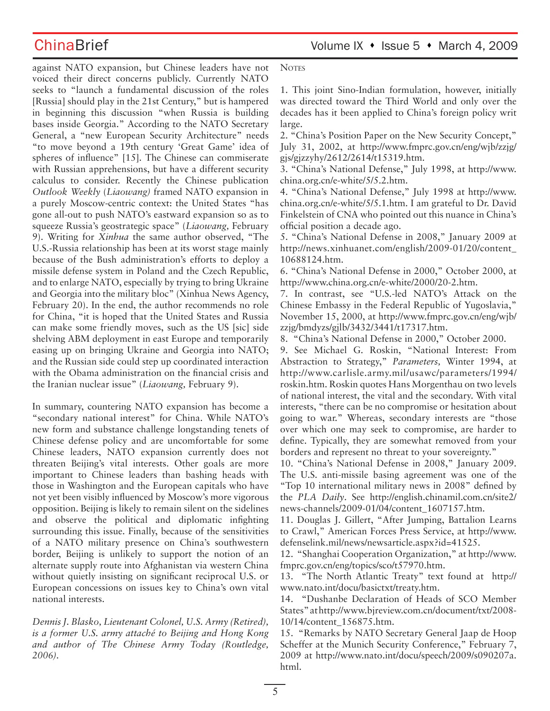against NATO expansion, but Chinese leaders have not voiced their direct concerns publicly. Currently NATO seeks to "launch a fundamental discussion of the roles [Russia] should play in the 21st Century," but is hampered in beginning this discussion "when Russia is building bases inside Georgia." According to the NATO Secretary General, a "new European Security Architecture" needs "to move beyond a 19th century 'Great Game' idea of spheres of influence" [15]. The Chinese can commiserate with Russian apprehensions, but have a different security calculus to consider. Recently the Chinese publication *Outlook Weekly* (*Liaowang)* framed NATO expansion in a purely Moscow-centric context: the United States "has gone all-out to push NATO's eastward expansion so as to squeeze Russia's geostrategic space" (*Liaowang,* February 9). Writing for *Xinhua* the same author observed, "The U.S.-Russia relationship has been at its worst stage mainly because of the Bush administration's efforts to deploy a missile defense system in Poland and the Czech Republic, and to enlarge NATO, especially by trying to bring Ukraine and Georgia into the military bloc" (Xinhua News Agency, February 20). In the end, the author recommends no role for China, "it is hoped that the United States and Russia can make some friendly moves, such as the US [sic] side shelving ABM deployment in east Europe and temporarily easing up on bringing Ukraine and Georgia into NATO; and the Russian side could step up coordinated interaction with the Obama administration on the financial crisis and the Iranian nuclear issue" (*Liaowang,* February 9).

In summary, countering NATO expansion has become a "secondary national interest" for China. While NATO's new form and substance challenge longstanding tenets of Chinese defense policy and are uncomfortable for some Chinese leaders, NATO expansion currently does not threaten Beijing's vital interests. Other goals are more important to Chinese leaders than bashing heads with those in Washington and the European capitals who have not yet been visibly influenced by Moscow's more vigorous opposition. Beijing is likely to remain silent on the sidelines and observe the political and diplomatic infighting surrounding this issue. Finally, because of the sensitivities of a NATO military presence on China's southwestern border, Beijing is unlikely to support the notion of an alternate supply route into Afghanistan via western China without quietly insisting on significant reciprocal U.S. or European concessions on issues key to China's own vital national interests.

*Dennis J. Blasko, Lieutenant Colonel, U.S. Army (Retired), is a former U.S. army attaché to Beijing and Hong Kong and author of The Chinese Army Today (Routledge, 2006).*

**NOTES** 

1. This joint Sino-Indian formulation, however, initially was directed toward the Third World and only over the decades has it been applied to China's foreign policy writ large.

2. "China's Position Paper on the New Security Concept," July 31, 2002, at http://www.fmprc.gov.cn/eng/wjb/zzjg/ gjs/gjzzyhy/2612/2614/t15319.htm.

3. "China's National Defense," July 1998, at http://www. china.org.cn/e-white/5/5.2.htm.

4. "China's National Defense," July 1998 at http://www. china.org.cn/e-white/5/5.1.htm. I am grateful to Dr. David Finkelstein of CNA who pointed out this nuance in China's official position a decade ago.

5. "China's National Defense in 2008," January 2009 at http://news.xinhuanet.com/english/2009-01/20/content\_ 10688124.htm.

6. "China's National Defense in 2000," October 2000, at http://www.china.org.cn/e-white/2000/20-2.htm.

7. In contrast, see "U.S.-led NATO's Attack on the Chinese Embassy in the Federal Republic of Yugoslavia," November 15, 2000, at http://www.fmprc.gov.cn/eng/wjb/ zzjg/bmdyzs/gjlb/3432/3441/t17317.htm.

8. "China's National Defense in 2000," October 2000.

9. See Michael G. Roskin, "National Interest: From Abstraction to Strategy," *Parameters,* Winter 1994, at http://www.carlisle.army.mil/usawc/parameters/1994/ roskin.htm. Roskin quotes Hans Morgenthau on two levels of national interest, the vital and the secondary. With vital interests, "there can be no compromise or hesitation about going to war." Whereas, secondary interests are "those over which one may seek to compromise, are harder to define. Typically, they are somewhat removed from your borders and represent no threat to your sovereignty."

10. "China's National Defense in 2008," January 2009. The U.S. anti-missile basing agreement was one of the "Top 10 international military news in 2008" defined by the *PLA Daily*. See http://english.chinamil.com.cn/site2/ news-channels/2009-01/04/content\_1607157.htm.

11. Douglas J. Gillert, "After Jumping, Battalion Learns to Crawl," American Forces Press Service, at http://www. defenselink.mil/news/newsarticle.aspx?id=41525.

12. "Shanghai Cooperation Organization," at http://www. fmprc.gov.cn/eng/topics/sco/t57970.htm.

13. "The North Atlantic Treaty" text found at http:// www.nato.int/docu/basictxt/treaty.htm.

14. "Dushanbe Declaration of Heads of SCO Member States" at http://www.bjreview.com.cn/document/txt/2008- 10/14/content\_156875.htm.

15. "Remarks by NATO Secretary General Jaap de Hoop Scheffer at the Munich Security Conference," February 7, 2009 at http://www.nato.int/docu/speech/2009/s090207a. html.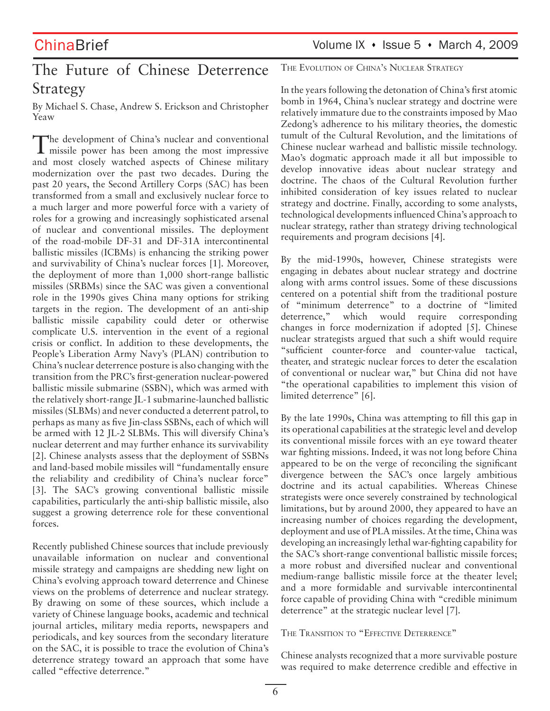# The Future of Chinese Deterrence Strategy

By Michael S. Chase, Andrew S. Erickson and Christopher Yeaw

The development of China's nuclear and conventional missile power has been among the most impressive and most closely watched aspects of Chinese military modernization over the past two decades. During the past 20 years, the Second Artillery Corps (SAC) has been transformed from a small and exclusively nuclear force to a much larger and more powerful force with a variety of roles for a growing and increasingly sophisticated arsenal of nuclear and conventional missiles. The deployment of the road-mobile DF-31 and DF-31A intercontinental ballistic missiles (ICBMs) is enhancing the striking power and survivability of China's nuclear forces [1]. Moreover, the deployment of more than 1,000 short-range ballistic missiles (SRBMs) since the SAC was given a conventional role in the 1990s gives China many options for striking targets in the region. The development of an anti-ship ballistic missile capability could deter or otherwise complicate U.S. intervention in the event of a regional crisis or conflict. In addition to these developments, the People's Liberation Army Navy's (PLAN) contribution to China's nuclear deterrence posture is also changing with the transition from the PRC's first-generation nuclear-powered ballistic missile submarine (SSBN), which was armed with the relatively short-range JL-1 submarine-launched ballistic missiles (SLBMs) and never conducted a deterrent patrol, to perhaps as many as five Jin-class SSBNs, each of which will be armed with 12 JL-2 SLBMs. This will diversify China's nuclear deterrent and may further enhance its survivability [2]. Chinese analysts assess that the deployment of SSBNs and land-based mobile missiles will "fundamentally ensure the reliability and credibility of China's nuclear force" [3]. The SAC's growing conventional ballistic missile capabilities, particularly the anti-ship ballistic missile, also suggest a growing deterrence role for these conventional forces.

Recently published Chinese sources that include previously unavailable information on nuclear and conventional missile strategy and campaigns are shedding new light on China's evolving approach toward deterrence and Chinese views on the problems of deterrence and nuclear strategy. By drawing on some of these sources, which include a variety of Chinese language books, academic and technical journal articles, military media reports, newspapers and periodicals, and key sources from the secondary literature on the SAC, it is possible to trace the evolution of China's deterrence strategy toward an approach that some have called "effective deterrence."

THE EVOLUTION OF CHINA'S NUCLEAR STRATEGY

In the years following the detonation of China's first atomic bomb in 1964, China's nuclear strategy and doctrine were relatively immature due to the constraints imposed by Mao Zedong's adherence to his military theories, the domestic tumult of the Cultural Revolution, and the limitations of Chinese nuclear warhead and ballistic missile technology. Mao's dogmatic approach made it all but impossible to develop innovative ideas about nuclear strategy and doctrine. The chaos of the Cultural Revolution further inhibited consideration of key issues related to nuclear strategy and doctrine. Finally, according to some analysts, technological developments influenced China's approach to nuclear strategy, rather than strategy driving technological requirements and program decisions [4].

By the mid-1990s, however, Chinese strategists were engaging in debates about nuclear strategy and doctrine along with arms control issues. Some of these discussions centered on a potential shift from the traditional posture of "minimum deterrence" to a doctrine of "limited deterrence," which would require corresponding changes in force modernization if adopted [5]. Chinese nuclear strategists argued that such a shift would require "sufficient counter-force and counter-value tactical, theater, and strategic nuclear forces to deter the escalation of conventional or nuclear war," but China did not have "the operational capabilities to implement this vision of limited deterrence" [6].

By the late 1990s, China was attempting to fill this gap in its operational capabilities at the strategic level and develop its conventional missile forces with an eye toward theater war fighting missions. Indeed, it was not long before China appeared to be on the verge of reconciling the significant divergence between the SAC's once largely ambitious doctrine and its actual capabilities. Whereas Chinese strategists were once severely constrained by technological limitations, but by around 2000, they appeared to have an increasing number of choices regarding the development, deployment and use of PLA missiles. At the time, China was developing an increasingly lethal war-fighting capability for the SAC's short-range conventional ballistic missile forces; a more robust and diversified nuclear and conventional medium-range ballistic missile force at the theater level; and a more formidable and survivable intercontinental force capable of providing China with "credible minimum deterrence" at the strategic nuclear level [7].

THE TRANSITION TO "EFFECTIVE DETERRENCE"

Chinese analysts recognized that a more survivable posture was required to make deterrence credible and effective in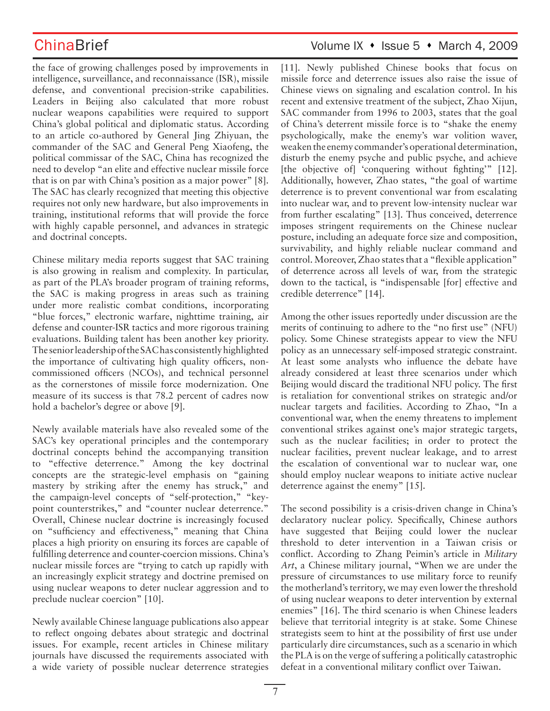the face of growing challenges posed by improvements in intelligence, surveillance, and reconnaissance (ISR), missile defense, and conventional precision-strike capabilities. Leaders in Beijing also calculated that more robust nuclear weapons capabilities were required to support China's global political and diplomatic status. According to an article co-authored by General Jing Zhiyuan, the commander of the SAC and General Peng Xiaofeng, the political commissar of the SAC, China has recognized the need to develop "an elite and effective nuclear missile force that is on par with China's position as a major power" [8]. The SAC has clearly recognized that meeting this objective requires not only new hardware, but also improvements in training, institutional reforms that will provide the force with highly capable personnel, and advances in strategic and doctrinal concepts.

Chinese military media reports suggest that SAC training is also growing in realism and complexity. In particular, as part of the PLA's broader program of training reforms, the SAC is making progress in areas such as training under more realistic combat conditions, incorporating "blue forces," electronic warfare, nighttime training, air defense and counter-ISR tactics and more rigorous training evaluations. Building talent has been another key priority. The senior leadership of the SAC has consistently highlighted the importance of cultivating high quality officers, noncommissioned officers (NCOs), and technical personnel as the cornerstones of missile force modernization. One measure of its success is that 78.2 percent of cadres now hold a bachelor's degree or above [9].

Newly available materials have also revealed some of the SAC's key operational principles and the contemporary doctrinal concepts behind the accompanying transition to "effective deterrence." Among the key doctrinal concepts are the strategic-level emphasis on "gaining mastery by striking after the enemy has struck," and the campaign-level concepts of "self-protection," "keypoint counterstrikes," and "counter nuclear deterrence." Overall, Chinese nuclear doctrine is increasingly focused on "sufficiency and effectiveness," meaning that China places a high priority on ensuring its forces are capable of fulfilling deterrence and counter-coercion missions. China's nuclear missile forces are "trying to catch up rapidly with an increasingly explicit strategy and doctrine premised on using nuclear weapons to deter nuclear aggression and to preclude nuclear coercion" [10].

Newly available Chinese language publications also appear to reflect ongoing debates about strategic and doctrinal issues. For example, recent articles in Chinese military journals have discussed the requirements associated with a wide variety of possible nuclear deterrence strategies

## ChinaBrief ChinaBrief Volume IX • Issue 5 • March 4, 2009

[11]. Newly published Chinese books that focus on missile force and deterrence issues also raise the issue of Chinese views on signaling and escalation control. In his recent and extensive treatment of the subject, Zhao Xijun, SAC commander from 1996 to 2003, states that the goal of China's deterrent missile force is to "shake the enemy psychologically, make the enemy's war volition waver, weaken the enemy commander's operational determination, disturb the enemy psyche and public psyche, and achieve [the objective of] 'conquering without fighting'" [12]. Additionally, however, Zhao states, "the goal of wartime deterrence is to prevent conventional war from escalating into nuclear war, and to prevent low-intensity nuclear war from further escalating" [13]. Thus conceived, deterrence imposes stringent requirements on the Chinese nuclear posture, including an adequate force size and composition, survivability, and highly reliable nuclear command and control. Moreover, Zhao states that a "flexible application" of deterrence across all levels of war, from the strategic down to the tactical, is "indispensable [for] effective and credible deterrence" [14].

Among the other issues reportedly under discussion are the merits of continuing to adhere to the "no first use" (NFU) policy. Some Chinese strategists appear to view the NFU policy as an unnecessary self-imposed strategic constraint. At least some analysts who influence the debate have already considered at least three scenarios under which Beijing would discard the traditional NFU policy. The first is retaliation for conventional strikes on strategic and/or nuclear targets and facilities. According to Zhao, "In a conventional war, when the enemy threatens to implement conventional strikes against one's major strategic targets, such as the nuclear facilities; in order to protect the nuclear facilities, prevent nuclear leakage, and to arrest the escalation of conventional war to nuclear war, one should employ nuclear weapons to initiate active nuclear deterrence against the enemy" [15].

The second possibility is a crisis-driven change in China's declaratory nuclear policy. Specifically, Chinese authors have suggested that Beijing could lower the nuclear threshold to deter intervention in a Taiwan crisis or conflict. According to Zhang Peimin's article in *Military Art*, a Chinese military journal, "When we are under the pressure of circumstances to use military force to reunify the motherland's territory, we may even lower the threshold of using nuclear weapons to deter intervention by external enemies" [16]. The third scenario is when Chinese leaders believe that territorial integrity is at stake. Some Chinese strategists seem to hint at the possibility of first use under particularly dire circumstances, such as a scenario in which the PLA is on the verge of suffering a politically catastrophic defeat in a conventional military conflict over Taiwan.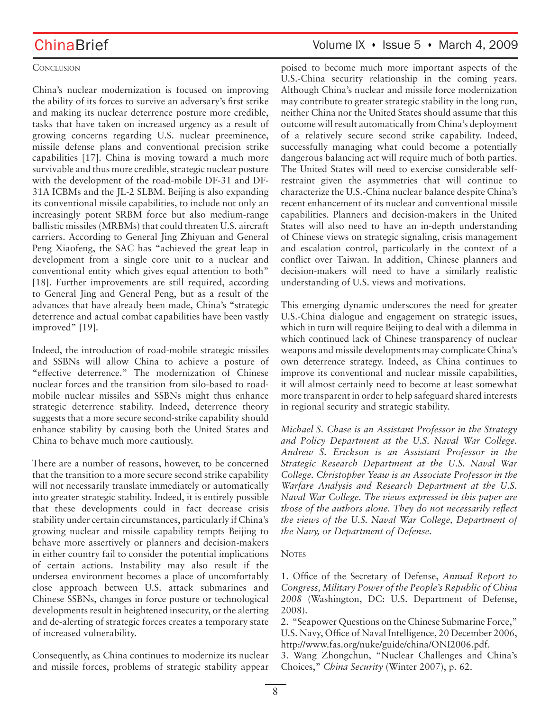## **CONCLUSION**

China's nuclear modernization is focused on improving the ability of its forces to survive an adversary's first strike and making its nuclear deterrence posture more credible, tasks that have taken on increased urgency as a result of growing concerns regarding U.S. nuclear preeminence, missile defense plans and conventional precision strike capabilities [17]. China is moving toward a much more survivable and thus more credible, strategic nuclear posture with the development of the road-mobile DF-31 and DF-31A ICBMs and the JL-2 SLBM. Beijing is also expanding its conventional missile capabilities, to include not only an increasingly potent SRBM force but also medium-range ballistic missiles (MRBMs) that could threaten U.S. aircraft carriers. According to General Jing Zhiyuan and General Peng Xiaofeng, the SAC has "achieved the great leap in development from a single core unit to a nuclear and conventional entity which gives equal attention to both" [18]. Further improvements are still required, according to General Jing and General Peng, but as a result of the advances that have already been made, China's "strategic deterrence and actual combat capabilities have been vastly improved" [19].

Indeed, the introduction of road-mobile strategic missiles and SSBNs will allow China to achieve a posture of "effective deterrence." The modernization of Chinese nuclear forces and the transition from silo-based to roadmobile nuclear missiles and SSBNs might thus enhance strategic deterrence stability. Indeed, deterrence theory suggests that a more secure second-strike capability should enhance stability by causing both the United States and China to behave much more cautiously.

There are a number of reasons, however, to be concerned that the transition to a more secure second strike capability will not necessarily translate immediately or automatically into greater strategic stability. Indeed, it is entirely possible that these developments could in fact decrease crisis stability under certain circumstances, particularly if China's growing nuclear and missile capability tempts Beijing to behave more assertively or planners and decision-makers in either country fail to consider the potential implications of certain actions. Instability may also result if the undersea environment becomes a place of uncomfortably close approach between U.S. attack submarines and Chinese SSBNs, changes in force posture or technological developments result in heightened insecurity, or the alerting and de-alerting of strategic forces creates a temporary state of increased vulnerability.

Consequently, as China continues to modernize its nuclear and missile forces, problems of strategic stability appear

## ChinaBrief Volume IX • Issue 5 • March 4, 2009

poised to become much more important aspects of the U.S.-China security relationship in the coming years. Although China's nuclear and missile force modernization may contribute to greater strategic stability in the long run, neither China nor the United States should assume that this outcome will result automatically from China's deployment of a relatively secure second strike capability. Indeed, successfully managing what could become a potentially dangerous balancing act will require much of both parties. The United States will need to exercise considerable selfrestraint given the asymmetries that will continue to characterize the U.S.-China nuclear balance despite China's recent enhancement of its nuclear and conventional missile capabilities. Planners and decision-makers in the United States will also need to have an in-depth understanding of Chinese views on strategic signaling, crisis management and escalation control, particularly in the context of a conflict over Taiwan. In addition, Chinese planners and decision-makers will need to have a similarly realistic understanding of U.S. views and motivations.

This emerging dynamic underscores the need for greater U.S.-China dialogue and engagement on strategic issues, which in turn will require Beijing to deal with a dilemma in which continued lack of Chinese transparency of nuclear weapons and missile developments may complicate China's own deterrence strategy. Indeed, as China continues to improve its conventional and nuclear missile capabilities, it will almost certainly need to become at least somewhat more transparent in order to help safeguard shared interests in regional security and strategic stability.

*Michael S. Chase is an Assistant Professor in the Strategy and Policy Department at the U.S. Naval War College. Andrew S. Erickson is an Assistant Professor in the Strategic Research Department at the U.S. Naval War College. Christopher Yeaw is an Associate Professor in the Warfare Analysis and Research Department at the U.S. Naval War College. The views expressed in this paper are those of the authors alone. They do not necessarily reflect the views of the U.S. Naval War College, Department of the Navy, or Department of Defense.*

### **NOTES**

1. Office of the Secretary of Defense, *Annual Report to Congress, Military Power of the People's Republic of China 2008* (Washington, DC: U.S. Department of Defense, 2008).

2. "Seapower Questions on the Chinese Submarine Force," U.S. Navy, Office of Naval Intelligence, 20 December 2006, http://www.fas.org/nuke/guide/china/ONI2006.pdf.

3. Wang Zhongchun, "Nuclear Challenges and China's Choices," *China Security* (Winter 2007), p. 62.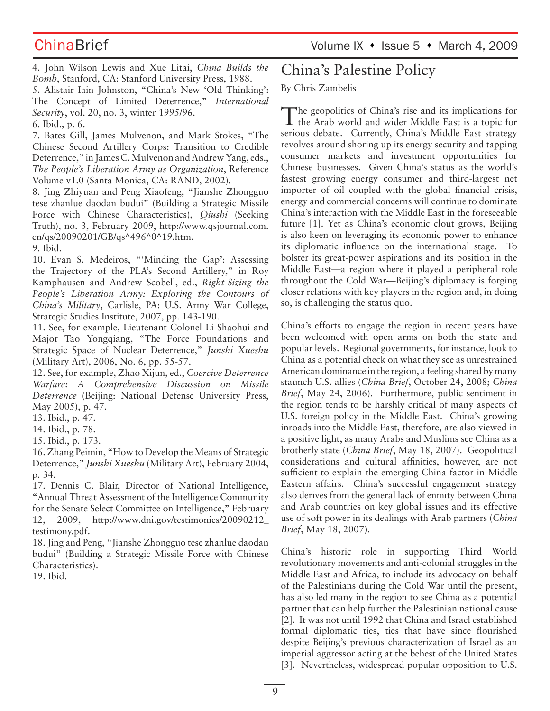ChinaBrief ChinaBrief Volume IX • Issue 5 • March 4, 2009

4. John Wilson Lewis and Xue Litai, *China Builds the Bomb*, Stanford, CA: Stanford University Press, 1988.

5. Alistair Iain Johnston, "China's New 'Old Thinking': The Concept of Limited Deterrence," *International Security*, vol. 20, no. 3, winter 1995/96.

6. Ibid., p. 6.

7. Bates Gill, James Mulvenon, and Mark Stokes, "The Chinese Second Artillery Corps: Transition to Credible Deterrence," in James C. Mulvenon and Andrew Yang, eds., *The People's Liberation Army as Organization*, Reference Volume v1.0 (Santa Monica, CA: RAND, 2002).

8. Jing Zhiyuan and Peng Xiaofeng, "Jianshe Zhongguo tese zhanlue daodan budui" (Building a Strategic Missile Force with Chinese Characteristics), *Qiushi* (Seeking Truth), no. 3, February 2009, http://www.qsjournal.com. cn/qs/20090201/GB/qs^496^0^19.htm.

9. Ibid.

10. Evan S. Medeiros, "'Minding the Gap': Assessing the Trajectory of the PLA's Second Artillery," in Roy Kamphausen and Andrew Scobell, ed., *Right-Sizing the People's Liberation Army: Exploring the Contours of China's Military*, Carlisle, PA: U.S. Army War College, Strategic Studies Institute, 2007, pp. 143-190.

11. See, for example, Lieutenant Colonel Li Shaohui and Major Tao Yongqiang, "The Force Foundations and Strategic Space of Nuclear Deterrence," *Junshi Xueshu* (Military Art), 2006, No. 6, pp. 55-57.

12. See, for example, Zhao Xijun, ed., *Coercive Deterrence Warfare: A Comprehensive Discussion on Missile Deterrence* (Beijing: National Defense University Press, May 2005), p. 47.

13. Ibid., p. 47.

14. Ibid., p. 78.

15. Ibid., p. 173.

16. Zhang Peimin, "How to Develop the Means of Strategic Deterrence," *Junshi Xueshu* (Military Art), February 2004, p. 34.

17. Dennis C. Blair, Director of National Intelligence, "Annual Threat Assessment of the Intelligence Community for the Senate Select Committee on Intelligence," February 12, 2009, http://www.dni.gov/testimonies/20090212\_ testimony.pdf.

18. Jing and Peng, "Jianshe Zhongguo tese zhanlue daodan budui" (Building a Strategic Missile Force with Chinese Characteristics).

19. Ibid.

# China's Palestine Policy

## By Chris Zambelis

The geopolitics of China's rise and its implications for **L** the Arab world and wider Middle East is a topic for serious debate. Currently, China's Middle East strategy revolves around shoring up its energy security and tapping consumer markets and investment opportunities for Chinese businesses. Given China's status as the world's fastest growing energy consumer and third-largest net importer of oil coupled with the global financial crisis, energy and commercial concerns will continue to dominate China's interaction with the Middle East in the foreseeable future [1]. Yet as China's economic clout grows, Beijing is also keen on leveraging its economic power to enhance its diplomatic influence on the international stage. To bolster its great-power aspirations and its position in the Middle East—a region where it played a peripheral role throughout the Cold War—Beijing's diplomacy is forging closer relations with key players in the region and, in doing so, is challenging the status quo.

China's efforts to engage the region in recent years have been welcomed with open arms on both the state and popular levels. Regional governments, for instance, look to China as a potential check on what they see as unrestrained American dominance in the region, a feeling shared by many staunch U.S. allies (*China Brief*, October 24, 2008; *China Brief*, May 24, 2006). Furthermore, public sentiment in the region tends to be harshly critical of many aspects of U.S. foreign policy in the Middle East. China's growing inroads into the Middle East, therefore, are also viewed in a positive light, as many Arabs and Muslims see China as a brotherly state (*China Brief*, May 18, 2007). Geopolitical considerations and cultural affinities, however, are not sufficient to explain the emerging China factor in Middle Eastern affairs. China's successful engagement strategy also derives from the general lack of enmity between China and Arab countries on key global issues and its effective use of soft power in its dealings with Arab partners (*China Brief*, May 18, 2007).

China's historic role in supporting Third World revolutionary movements and anti-colonial struggles in the Middle East and Africa, to include its advocacy on behalf of the Palestinians during the Cold War until the present, has also led many in the region to see China as a potential partner that can help further the Palestinian national cause [2]. It was not until 1992 that China and Israel established formal diplomatic ties, ties that have since flourished despite Beijing's previous characterization of Israel as an imperial aggressor acting at the behest of the United States [3]. Nevertheless, widespread popular opposition to U.S.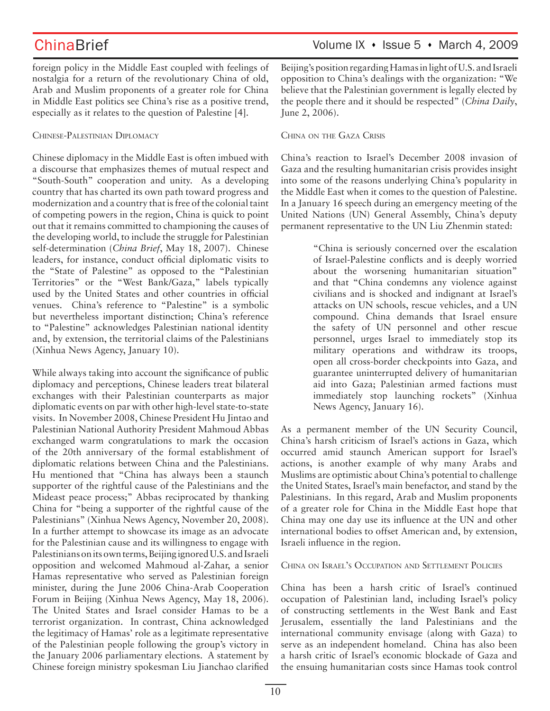foreign policy in the Middle East coupled with feelings of nostalgia for a return of the revolutionary China of old, Arab and Muslim proponents of a greater role for China in Middle East politics see China's rise as a positive trend, especially as it relates to the question of Palestine [4].

## CHINESE-PALESTINIAN DIPLOMACY

Chinese diplomacy in the Middle East is often imbued with a discourse that emphasizes themes of mutual respect and "South-South" cooperation and unity. As a developing country that has charted its own path toward progress and modernization and a country that is free of the colonial taint of competing powers in the region, China is quick to point out that it remains committed to championing the causes of the developing world, to include the struggle for Palestinian self-determination (*China Brief*, May 18, 2007). Chinese leaders, for instance, conduct official diplomatic visits to the "State of Palestine" as opposed to the "Palestinian Territories" or the "West Bank/Gaza," labels typically used by the United States and other countries in official venues. China's reference to "Palestine" is a symbolic but nevertheless important distinction; China's reference to "Palestine" acknowledges Palestinian national identity and, by extension, the territorial claims of the Palestinians (Xinhua News Agency, January 10).

While always taking into account the significance of public diplomacy and perceptions, Chinese leaders treat bilateral exchanges with their Palestinian counterparts as major diplomatic events on par with other high-level state-to-state visits. In November 2008, Chinese President Hu Jintao and Palestinian National Authority President Mahmoud Abbas exchanged warm congratulations to mark the occasion of the 20th anniversary of the formal establishment of diplomatic relations between China and the Palestinians. Hu mentioned that "China has always been a staunch supporter of the rightful cause of the Palestinians and the Mideast peace process;" Abbas reciprocated by thanking China for "being a supporter of the rightful cause of the Palestinians" (Xinhua News Agency, November 20, 2008). In a further attempt to showcase its image as an advocate for the Palestinian cause and its willingness to engage with Palestinians on its own terms, Beijing ignored U.S. and Israeli opposition and welcomed Mahmoud al-Zahar, a senior Hamas representative who served as Palestinian foreign minister, during the June 2006 China-Arab Cooperation Forum in Beijing (Xinhua News Agency, May 18, 2006). The United States and Israel consider Hamas to be a terrorist organization. In contrast, China acknowledged the legitimacy of Hamas' role as a legitimate representative of the Palestinian people following the group's victory in the January 2006 parliamentary elections. A statement by Chinese foreign ministry spokesman Liu Jianchao clarified Beijing's position regarding Hamas in light of U.S. and Israeli opposition to China's dealings with the organization: "We believe that the Palestinian government is legally elected by the people there and it should be respected" (*China Daily*, June 2, 2006).

## CHINA ON THE GAZA CRISIS

China's reaction to Israel's December 2008 invasion of Gaza and the resulting humanitarian crisis provides insight into some of the reasons underlying China's popularity in the Middle East when it comes to the question of Palestine. In a January 16 speech during an emergency meeting of the United Nations (UN) General Assembly, China's deputy permanent representative to the UN Liu Zhenmin stated:

> "China is seriously concerned over the escalation of Israel-Palestine conflicts and is deeply worried about the worsening humanitarian situation" and that "China condemns any violence against civilians and is shocked and indignant at Israel's attacks on UN schools, rescue vehicles, and a UN compound. China demands that Israel ensure the safety of UN personnel and other rescue personnel, urges Israel to immediately stop its military operations and withdraw its troops, open all cross-border checkpoints into Gaza, and guarantee uninterrupted delivery of humanitarian aid into Gaza; Palestinian armed factions must immediately stop launching rockets" (Xinhua News Agency, January 16).

As a permanent member of the UN Security Council, China's harsh criticism of Israel's actions in Gaza, which occurred amid staunch American support for Israel's actions, is another example of why many Arabs and Muslims are optimistic about China's potential to challenge the United States, Israel's main benefactor, and stand by the Palestinians. In this regard, Arab and Muslim proponents of a greater role for China in the Middle East hope that China may one day use its influence at the UN and other international bodies to offset American and, by extension, Israeli influence in the region.

CHINA ON ISRAEL'S OCCUPATION AND SETTLEMENT POLICIES

China has been a harsh critic of Israel's continued occupation of Palestinian land, including Israel's policy of constructing settlements in the West Bank and East Jerusalem, essentially the land Palestinians and the international community envisage (along with Gaza) to serve as an independent homeland. China has also been a harsh critic of Israel's economic blockade of Gaza and the ensuing humanitarian costs since Hamas took control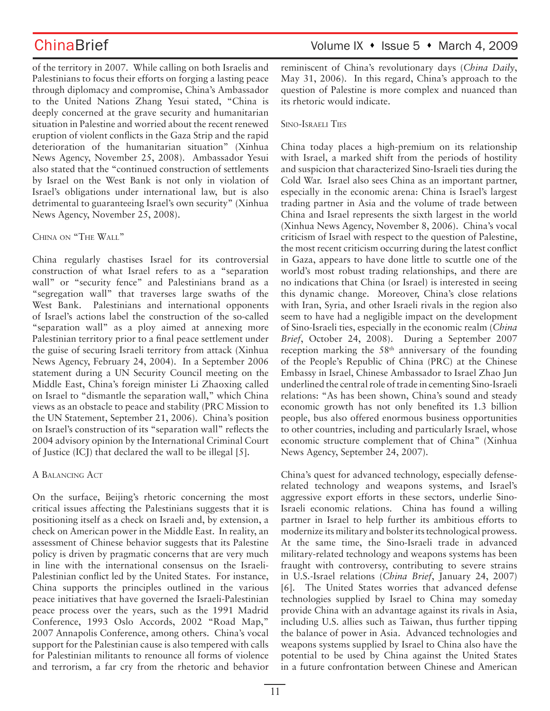of the territory in 2007. While calling on both Israelis and Palestinians to focus their efforts on forging a lasting peace through diplomacy and compromise, China's Ambassador to the United Nations Zhang Yesui stated, "China is deeply concerned at the grave security and humanitarian situation in Palestine and worried about the recent renewed eruption of violent conflicts in the Gaza Strip and the rapid deterioration of the humanitarian situation" (Xinhua News Agency, November 25, 2008). Ambassador Yesui also stated that the "continued construction of settlements by Israel on the West Bank is not only in violation of Israel's obligations under international law, but is also detrimental to guaranteeing Israel's own security" (Xinhua News Agency, November 25, 2008).

CHINA ON "THE WALL"

China regularly chastises Israel for its controversial construction of what Israel refers to as a "separation wall" or "security fence" and Palestinians brand as a "segregation wall" that traverses large swaths of the West Bank. Palestinians and international opponents of Israel's actions label the construction of the so-called "separation wall" as a ploy aimed at annexing more Palestinian territory prior to a final peace settlement under the guise of securing Israeli territory from attack (Xinhua News Agency, February 24, 2004). In a September 2006 statement during a UN Security Council meeting on the Middle East, China's foreign minister Li Zhaoxing called on Israel to "dismantle the separation wall," which China views as an obstacle to peace and stability (PRC Mission to the UN Statement, September 21, 2006). China's position on Israel's construction of its "separation wall" reflects the 2004 advisory opinion by the International Criminal Court of Justice (ICJ) that declared the wall to be illegal [5].

A BALANCING ACT

On the surface, Beijing's rhetoric concerning the most critical issues affecting the Palestinians suggests that it is positioning itself as a check on Israeli and, by extension, a check on American power in the Middle East. In reality, an assessment of Chinese behavior suggests that its Palestine policy is driven by pragmatic concerns that are very much in line with the international consensus on the Israeli-Palestinian conflict led by the United States. For instance, China supports the principles outlined in the various peace initiatives that have governed the Israeli-Palestinian peace process over the years, such as the 1991 Madrid Conference, 1993 Oslo Accords, 2002 "Road Map," 2007 Annapolis Conference, among others. China's vocal support for the Palestinian cause is also tempered with calls for Palestinian militants to renounce all forms of violence and terrorism, a far cry from the rhetoric and behavior reminiscent of China's revolutionary days (*China Daily*, May 31, 2006). In this regard, China's approach to the question of Palestine is more complex and nuanced than its rhetoric would indicate.

## SINO-ISRAELI TIES

China today places a high-premium on its relationship with Israel, a marked shift from the periods of hostility and suspicion that characterized Sino-Israeli ties during the Cold War. Israel also sees China as an important partner, especially in the economic arena: China is Israel's largest trading partner in Asia and the volume of trade between China and Israel represents the sixth largest in the world (Xinhua News Agency, November 8, 2006). China's vocal criticism of Israel with respect to the question of Palestine, the most recent criticism occurring during the latest conflict in Gaza, appears to have done little to scuttle one of the world's most robust trading relationships, and there are no indications that China (or Israel) is interested in seeing this dynamic change. Moreover, China's close relations with Iran, Syria, and other Israeli rivals in the region also seem to have had a negligible impact on the development of Sino-Israeli ties, especially in the economic realm (*China Brief*, October 24, 2008). During a September 2007 reception marking the 58<sup>th</sup> anniversary of the founding of the People's Republic of China (PRC) at the Chinese Embassy in Israel, Chinese Ambassador to Israel Zhao Jun underlined the central role of trade in cementing Sino-Israeli relations: "As has been shown, China's sound and steady economic growth has not only benefited its 1.3 billion people, bus also offered enormous business opportunities to other countries, including and particularly Israel, whose economic structure complement that of China" (Xinhua News Agency, September 24, 2007).

China's quest for advanced technology, especially defenserelated technology and weapons systems, and Israel's aggressive export efforts in these sectors, underlie Sino-Israeli economic relations. China has found a willing partner in Israel to help further its ambitious efforts to modernize its military and bolster its technological prowess. At the same time, the Sino-Israeli trade in advanced military-related technology and weapons systems has been fraught with controversy, contributing to severe strains in U.S.-Israel relations (*China Brief*, January 24, 2007) [6]. The United States worries that advanced defense technologies supplied by Israel to China may someday provide China with an advantage against its rivals in Asia, including U.S. allies such as Taiwan, thus further tipping the balance of power in Asia. Advanced technologies and weapons systems supplied by Israel to China also have the potential to be used by China against the United States in a future confrontation between Chinese and American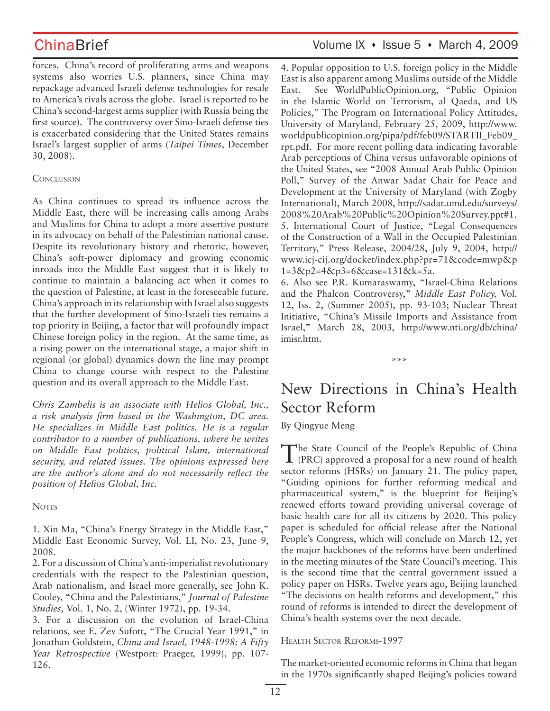forces. China's record of proliferating arms and weapons systems also worries U.S. planners, since China may repackage advanced Israeli defense technologies for resale to America's rivals across the globe. Israel is reported to be China's second-largest arms supplier (with Russia being the first source). The controversy over Sino-Israeli defense ties is exacerbated considering that the United States remains Israel's largest supplier of arms (*Taipei Times*, December 30, 2008).

## **CONCLUSION**

As China continues to spread its influence across the Middle East, there will be increasing calls among Arabs and Muslims for China to adopt a more assertive posture in its advocacy on behalf of the Palestinian national cause. Despite its revolutionary history and rhetoric, however, China's soft-power diplomacy and growing economic inroads into the Middle East suggest that it is likely to continue to maintain a balancing act when it comes to the question of Palestine, at least in the foreseeable future. China's approach in its relationship with Israel also suggests that the further development of Sino-Israeli ties remains a top priority in Beijing, a factor that will profoundly impact Chinese foreign policy in the region. At the same time, as a rising power on the international stage, a major shift in regional (or global) dynamics down the line may prompt China to change course with respect to the Palestine question and its overall approach to the Middle East.

*Chris Zambelis is an associate with Helios Global, Inc., a risk analysis firm based in the Washington, DC area. He specializes in Middle East politics. He is a regular contributor to a number of publications, where he writes on Middle East politics, political Islam, international security, and related issues. The opinions expressed here are the author's alone and do not necessarily reflect the position of Helios Global, Inc.* 

**NOTES** 

1. Xin Ma, "China's Energy Strategy in the Middle East," Middle East Economic Survey, Vol. LI, No. 23, June 9, 2008.

2. For a discussion of China's anti-imperialist revolutionary credentials with the respect to the Palestinian question, Arab nationalism, and Israel more generally, see John K. Cooley, "China and the Palestinians," *Journal of Palestine Studies,* Vol. 1, No. 2, (Winter 1972), pp. 19-34.

3. For a discussion on the evolution of Israel-China relations, see E. Zev Sufott, "The Crucial Year 1991," in Jonathan Goldstein, *China and Israel, 1948-1998: A Fifty Year Retrospective* (Westport: Praeger, 1999), pp. 107- 126.

# ChinaBrief Volume IX • Issue 5 • March 4, 2009

4. Popular opposition to U.S. foreign policy in the Middle East is also apparent among Muslims outside of the Middle East. See WorldPublicOpinion.org, "Public Opinion in the Islamic World on Terrorism, al Qaeda, and US Policies," The Program on International Policy Attitudes, University of Maryland, February 25, 2009, http://www. worldpublicopinion.org/pipa/pdf/feb09/STARTII\_Feb09\_ rpt.pdf. For more recent polling data indicating favorable Arab perceptions of China versus unfavorable opinions of the United States, see "2008 Annual Arab Public Opinion Poll," Survey of the Anwar Sadat Chair for Peace and Development at the University of Maryland (with Zogby International), March 2008, http://sadat.umd.edu/surveys/ 2008%20Arab%20Public%20Opinion%20Survey.ppt#1. 5. International Court of Justice, "Legal Consequences of the Construction of a Wall in the Occupied Palestinian Territory," Press Release, 2004/28, July 9, 2004, http:// www.icj-cij.org/docket/index.php?pr=71&code=mwp&p 1=3&p2=4&p3=6&case=131&k=5a.

6. Also see P.R. Kumaraswamy, "Israel-China Relations and the Phalcon Controversy," *Middle East Policy,* Vol. 12, Iss. 2, (Summer 2005), pp. 93-103; Nuclear Threat Initiative, "China's Missile Imports and Assistance from Israel," March 28, 2003, http://www.nti.org/db/china/ imisr.htm.

\*\*\*

# New Directions in China's Health Sector Reform

By Qingyue Meng

The State Council of the People's Republic of China (PRC) approved a proposal for a new round of health sector reforms (HSRs) on January 21. The policy paper, "Guiding opinions for further reforming medical and pharmaceutical system," is the blueprint for Beijing's renewed efforts toward providing universal coverage of basic health care for all its citizens by 2020. This policy paper is scheduled for official release after the National People's Congress, which will conclude on March 12, yet the major backbones of the reforms have been underlined in the meeting minutes of the State Council's meeting. This is the second time that the central government issued a policy paper on HSRs. Twelve years ago, Beijing launched "The decisions on health reforms and development," this round of reforms is intended to direct the development of China's health systems over the next decade.

## HEALTH SECTOR REFORMS-1997

The market-oriented economic reforms in China that began in the 1970s significantly shaped Beijing's policies toward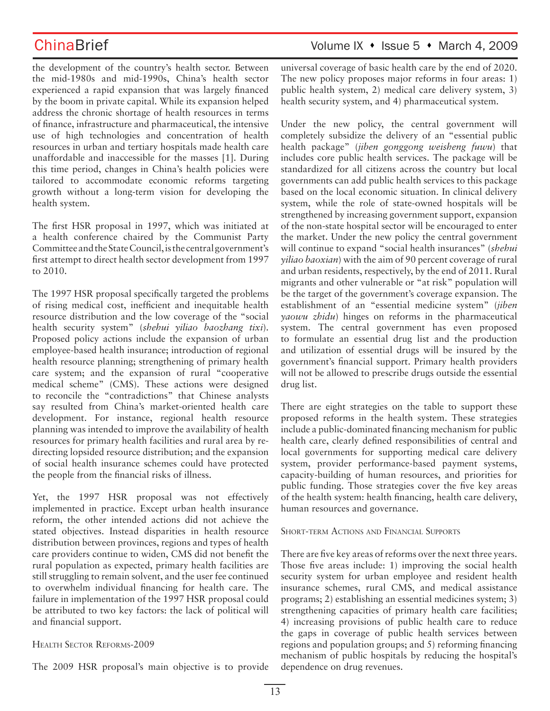the development of the country's health sector. Between the mid-1980s and mid-1990s, China's health sector experienced a rapid expansion that was largely financed by the boom in private capital. While its expansion helped address the chronic shortage of health resources in terms of finance, infrastructure and pharmaceutical, the intensive use of high technologies and concentration of health resources in urban and tertiary hospitals made health care unaffordable and inaccessible for the masses [1]. During this time period, changes in China's health policies were tailored to accommodate economic reforms targeting growth without a long-term vision for developing the health system.

The first HSR proposal in 1997, which was initiated at a health conference chaired by the Communist Party Committee and the State Council, is the central government's first attempt to direct health sector development from 1997 to 2010.

The 1997 HSR proposal specifically targeted the problems of rising medical cost, inefficient and inequitable health resource distribution and the low coverage of the "social health security system" (*shehui yiliao baozhang tixi*). Proposed policy actions include the expansion of urban employee-based health insurance; introduction of regional health resource planning; strengthening of primary health care system; and the expansion of rural "cooperative medical scheme" (CMS). These actions were designed to reconcile the "contradictions" that Chinese analysts say resulted from China's market-oriented health care development. For instance, regional health resource planning was intended to improve the availability of health resources for primary health facilities and rural area by redirecting lopsided resource distribution; and the expansion of social health insurance schemes could have protected the people from the financial risks of illness.

Yet, the 1997 HSR proposal was not effectively implemented in practice. Except urban health insurance reform, the other intended actions did not achieve the stated objectives. Instead disparities in health resource distribution between provinces, regions and types of health care providers continue to widen, CMS did not benefit the rural population as expected, primary health facilities are still struggling to remain solvent, and the user fee continued to overwhelm individual financing for health care. The failure in implementation of the 1997 HSR proposal could be attributed to two key factors: the lack of political will and financial support.

## HEALTH SECTOR REFORMS-2009

The 2009 HSR proposal's main objective is to provide

## ChinaBrief ChinaBrief Volume IX • Issue 5 • March 4, 2009

universal coverage of basic health care by the end of 2020. The new policy proposes major reforms in four areas: 1) public health system, 2) medical care delivery system, 3) health security system, and 4) pharmaceutical system.

Under the new policy, the central government will completely subsidize the delivery of an "essential public health package" (*jiben gonggong weisheng fuwu*) that includes core public health services. The package will be standardized for all citizens across the country but local governments can add public health services to this package based on the local economic situation. In clinical delivery system, while the role of state-owned hospitals will be strengthened by increasing government support, expansion of the non-state hospital sector will be encouraged to enter the market. Under the new policy the central government will continue to expand "social health insurances" (*shehui yiliao baoxian*) with the aim of 90 percent coverage of rural and urban residents, respectively, by the end of 2011. Rural migrants and other vulnerable or "at risk" population will be the target of the government's coverage expansion. The establishment of an "essential medicine system" (*jiben yaowu zhidu*) hinges on reforms in the pharmaceutical system. The central government has even proposed to formulate an essential drug list and the production and utilization of essential drugs will be insured by the government's financial support. Primary health providers will not be allowed to prescribe drugs outside the essential drug list.

There are eight strategies on the table to support these proposed reforms in the health system. These strategies include a public-dominated financing mechanism for public health care, clearly defined responsibilities of central and local governments for supporting medical care delivery system, provider performance-based payment systems, capacity-building of human resources, and priorities for public funding. Those strategies cover the five key areas of the health system: health financing, health care delivery, human resources and governance.

SHORT-TERM ACTIONS AND FINANCIAL SUPPORTS

There are five key areas of reforms over the next three years. Those five areas include: 1) improving the social health security system for urban employee and resident health insurance schemes, rural CMS, and medical assistance programs; 2) establishing an essential medicines system; 3) strengthening capacities of primary health care facilities; 4) increasing provisions of public health care to reduce the gaps in coverage of public health services between regions and population groups; and 5) reforming financing mechanism of public hospitals by reducing the hospital's dependence on drug revenues.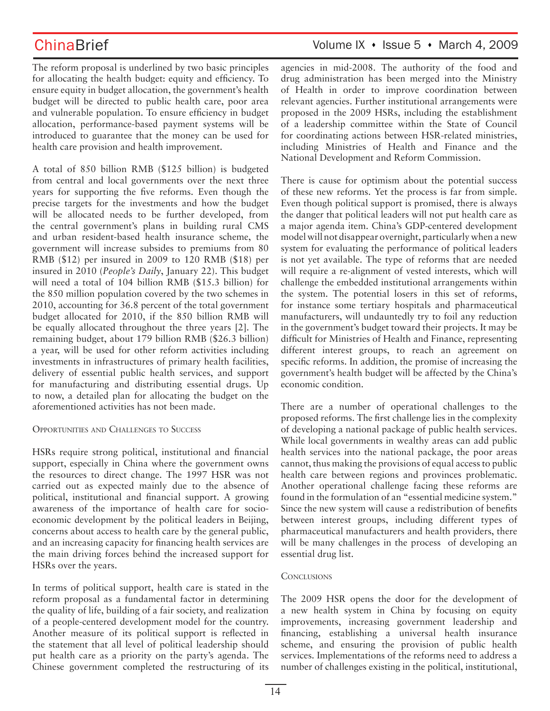ChinaBrief Volume IX • Issue 5 • March 4, 2009

The reform proposal is underlined by two basic principles for allocating the health budget: equity and efficiency. To ensure equity in budget allocation, the government's health budget will be directed to public health care, poor area and vulnerable population. To ensure efficiency in budget allocation, performance-based payment systems will be introduced to guarantee that the money can be used for health care provision and health improvement.

A total of 850 billion RMB (\$125 billion) is budgeted from central and local governments over the next three years for supporting the five reforms. Even though the precise targets for the investments and how the budget will be allocated needs to be further developed, from the central government's plans in building rural CMS and urban resident-based health insurance scheme, the government will increase subsides to premiums from 80 RMB (\$12) per insured in 2009 to 120 RMB (\$18) per insured in 2010 (*People's Daily*, January 22). This budget will need a total of 104 billion RMB (\$15.3 billion) for the 850 million population covered by the two schemes in 2010, accounting for 36.8 percent of the total government budget allocated for 2010, if the 850 billion RMB will be equally allocated throughout the three years [2]. The remaining budget, about 179 billion RMB (\$26.3 billion) a year, will be used for other reform activities including investments in infrastructures of primary health facilities, delivery of essential public health services, and support for manufacturing and distributing essential drugs. Up to now, a detailed plan for allocating the budget on the aforementioned activities has not been made.

### OPPORTUNITIES AND CHALLENGES TO SUCCESS

HSRs require strong political, institutional and financial support, especially in China where the government owns the resources to direct change. The 1997 HSR was not carried out as expected mainly due to the absence of political, institutional and financial support. A growing awareness of the importance of health care for socioeconomic development by the political leaders in Beijing, concerns about access to health care by the general public, and an increasing capacity for financing health services are the main driving forces behind the increased support for HSRs over the years.

In terms of political support, health care is stated in the reform proposal as a fundamental factor in determining the quality of life, building of a fair society, and realization of a people-centered development model for the country. Another measure of its political support is reflected in the statement that all level of political leadership should put health care as a priority on the party's agenda. The Chinese government completed the restructuring of its agencies in mid-2008. The authority of the food and drug administration has been merged into the Ministry of Health in order to improve coordination between relevant agencies. Further institutional arrangements were proposed in the 2009 HSRs, including the establishment of a leadership committee within the State of Council for coordinating actions between HSR-related ministries, including Ministries of Health and Finance and the National Development and Reform Commission.

There is cause for optimism about the potential success of these new reforms. Yet the process is far from simple. Even though political support is promised, there is always the danger that political leaders will not put health care as a major agenda item. China's GDP-centered development model will not disappear overnight, particularly when a new system for evaluating the performance of political leaders is not yet available. The type of reforms that are needed will require a re-alignment of vested interests, which will challenge the embedded institutional arrangements within the system. The potential losers in this set of reforms, for instance some tertiary hospitals and pharmaceutical manufacturers, will undauntedly try to foil any reduction in the government's budget toward their projects. It may be difficult for Ministries of Health and Finance, representing different interest groups, to reach an agreement on specific reforms. In addition, the promise of increasing the government's health budget will be affected by the China's economic condition.

There are a number of operational challenges to the proposed reforms. The first challenge lies in the complexity of developing a national package of public health services. While local governments in wealthy areas can add public health services into the national package, the poor areas cannot, thus making the provisions of equal access to public health care between regions and provinces problematic. Another operational challenge facing these reforms are found in the formulation of an "essential medicine system." Since the new system will cause a redistribution of benefits between interest groups, including different types of pharmaceutical manufacturers and health providers, there will be many challenges in the process of developing an essential drug list.

## **CONCLUSIONS**

The 2009 HSR opens the door for the development of a new health system in China by focusing on equity improvements, increasing government leadership and financing, establishing a universal health insurance scheme, and ensuring the provision of public health services. Implementations of the reforms need to address a number of challenges existing in the political, institutional,